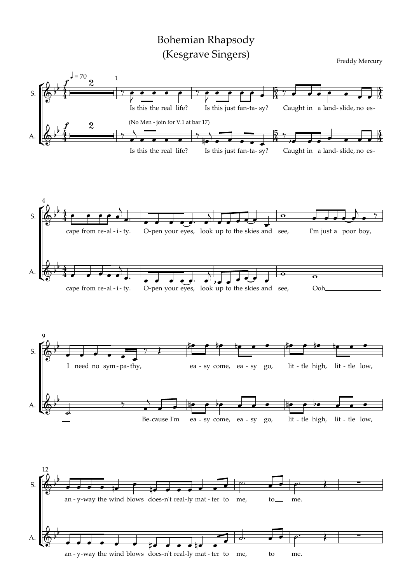## Bohemian Rhapsody (Kesgrave Singers)

Freddy Mercury

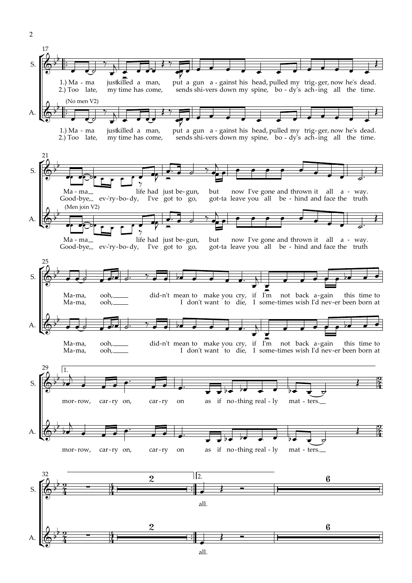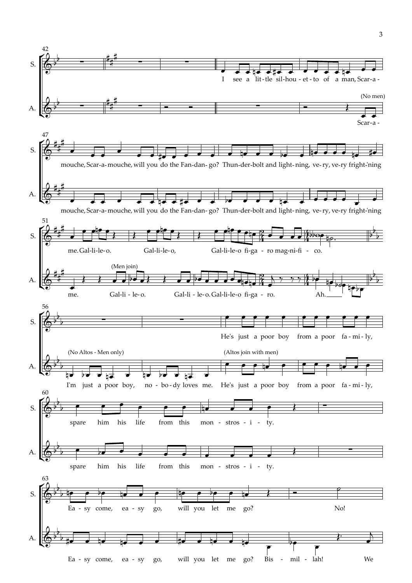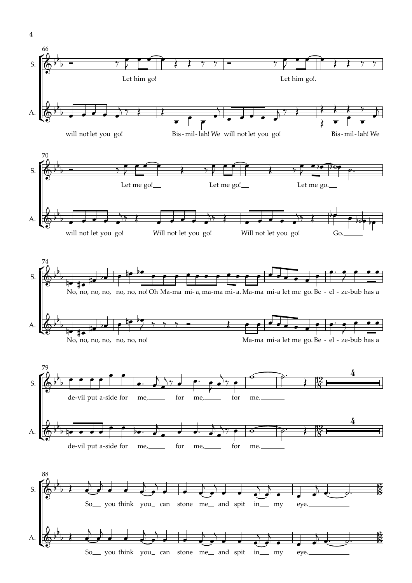